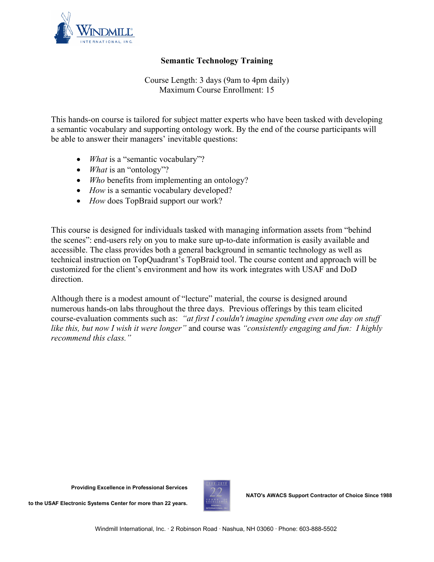

## **Semantic Technology Training**

Course Length: 3 days (9am to 4pm daily) Maximum Course Enrollment: 15

This hands-on course is tailored for subject matter experts who have been tasked with developing a semantic vocabulary and supporting ontology work. By the end of the course participants will be able to answer their managers' inevitable questions:

- *What* is a "semantic vocabulary"?
- *What* is an "ontology"?
- *Who* benefits from implementing an ontology?
- *How* is a semantic vocabulary developed?
- *How* does TopBraid support our work?

This course is designed for individuals tasked with managing information assets from "behind the scenes": end-users rely on you to make sure up-to-date information is easily available and accessible. The class provides both a general background in semantic technology as well as technical instruction on TopQuadrant's TopBraid tool. The course content and approach will be customized for the client's environment and how its work integrates with USAF and DoD direction.

Although there is a modest amount of "lecture" material, the course is designed around numerous hands-on labs throughout the three days. Previous offerings by this team elicited course-evaluation comments such as: *"at first I couldn't imagine spending even one day on stuff like this, but now I wish it were longer"* and course was *"consistently engaging and fun: I highly recommend this class."*

**Providing Excellence in Professional Services** 



**NATO's AWACS Support Contractor of Choice Since 1988** 

**to the USAF Electronic Systems Center for more than 22 years.**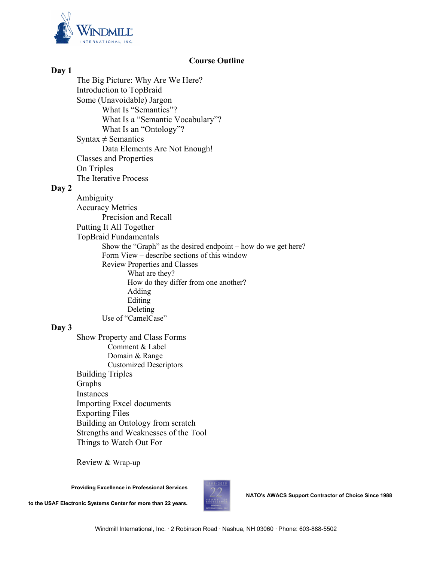

## **Course Outline**

**Day 1**  The Big Picture: Why Are We Here? Introduction to TopBraid Some (Unavoidable) Jargon What Is "Semantics"? What Is a "Semantic Vocabulary"? What Is an "Ontology"? Syntax  $\neq$  Semantics Data Elements Are Not Enough! Classes and Properties On Triples The Iterative Process **Day 2**  Ambiguity Accuracy Metrics Precision and Recall Putting It All Together TopBraid Fundamentals Show the "Graph" as the desired endpoint – how do we get here? Form View – describe sections of this window Review Properties and Classes What are they? How do they differ from one another? Adding Editing Deleting Use of "CamelCase" **Day 3**  Show Property and Class Forms Comment & Label Domain & Range Customized Descriptors Building Triples Graphs Instances Importing Excel documents

Exporting Files Building an Ontology from scratch Strengths and Weaknesses of the Tool

Review & Wrap-up

Things to Watch Out For

**Providing Excellence in Professional Services** 

**to the USAF Electronic Systems Center for more than 22 years.**



**NATO's AWACS Support Contractor of Choice Since 1988**